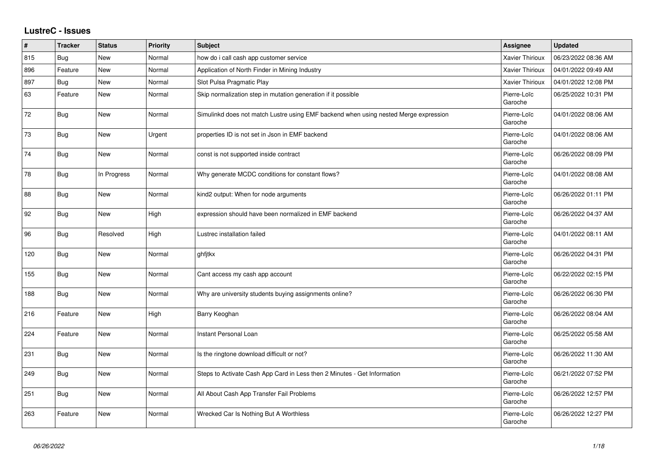## **LustreC - Issues**

| #   | <b>Tracker</b> | <b>Status</b> | Priority | Subject                                                                              | <b>Assignee</b>        | <b>Updated</b>      |
|-----|----------------|---------------|----------|--------------------------------------------------------------------------------------|------------------------|---------------------|
| 815 | Bug            | New           | Normal   | how do i call cash app customer service                                              | Xavier Thirioux        | 06/23/2022 08:36 AM |
| 896 | Feature        | New           | Normal   | Application of North Finder in Mining Industry                                       | Xavier Thirioux        | 04/01/2022 09:49 AM |
| 897 | Bug            | New           | Normal   | Slot Pulsa Pragmatic Play                                                            | Xavier Thirioux        | 04/01/2022 12:08 PM |
| 63  | Feature        | New           | Normal   | Skip normalization step in mutation generation if it possible                        | Pierre-Loïc<br>Garoche | 06/25/2022 10:31 PM |
| 72  | <b>Bug</b>     | New           | Normal   | Simulinkd does not match Lustre using EMF backend when using nested Merge expression | Pierre-Loïc<br>Garoche | 04/01/2022 08:06 AM |
| 73  | Bug            | New           | Urgent   | properties ID is not set in Json in EMF backend                                      | Pierre-Loïc<br>Garoche | 04/01/2022 08:06 AM |
| 74  | Bug            | New           | Normal   | const is not supported inside contract                                               | Pierre-Loïc<br>Garoche | 06/26/2022 08:09 PM |
| 78  | Bug            | In Progress   | Normal   | Why generate MCDC conditions for constant flows?                                     | Pierre-Loïc<br>Garoche | 04/01/2022 08:08 AM |
| 88  | Bug            | <b>New</b>    | Normal   | kind2 output: When for node arguments                                                | Pierre-Loïc<br>Garoche | 06/26/2022 01:11 PM |
| 92  | Bug            | New           | High     | expression should have been normalized in EMF backend                                | Pierre-Loïc<br>Garoche | 06/26/2022 04:37 AM |
| 96  | Bug            | Resolved      | High     | Lustrec installation failed                                                          | Pierre-Loïc<br>Garoche | 04/01/2022 08:11 AM |
| 120 | <b>Bug</b>     | New           | Normal   | ghfjtkx                                                                              | Pierre-Loïc<br>Garoche | 06/26/2022 04:31 PM |
| 155 | <b>Bug</b>     | New           | Normal   | Cant access my cash app account                                                      | Pierre-Loïc<br>Garoche | 06/22/2022 02:15 PM |
| 188 | <b>Bug</b>     | New           | Normal   | Why are university students buying assignments online?                               | Pierre-Loïc<br>Garoche | 06/26/2022 06:30 PM |
| 216 | Feature        | New           | High     | Barry Keoghan                                                                        | Pierre-Loïc<br>Garoche | 06/26/2022 08:04 AM |
| 224 | Feature        | New           | Normal   | Instant Personal Loan                                                                | Pierre-Loïc<br>Garoche | 06/25/2022 05:58 AM |
| 231 | <b>Bug</b>     | New           | Normal   | Is the ringtone download difficult or not?                                           | Pierre-Loïc<br>Garoche | 06/26/2022 11:30 AM |
| 249 | Bug            | New           | Normal   | Steps to Activate Cash App Card in Less then 2 Minutes - Get Information             | Pierre-Loïc<br>Garoche | 06/21/2022 07:52 PM |
| 251 | <b>Bug</b>     | New           | Normal   | All About Cash App Transfer Fail Problems                                            | Pierre-Loïc<br>Garoche | 06/26/2022 12:57 PM |
| 263 | Feature        | <b>New</b>    | Normal   | Wrecked Car Is Nothing But A Worthless                                               | Pierre-Loïc<br>Garoche | 06/26/2022 12:27 PM |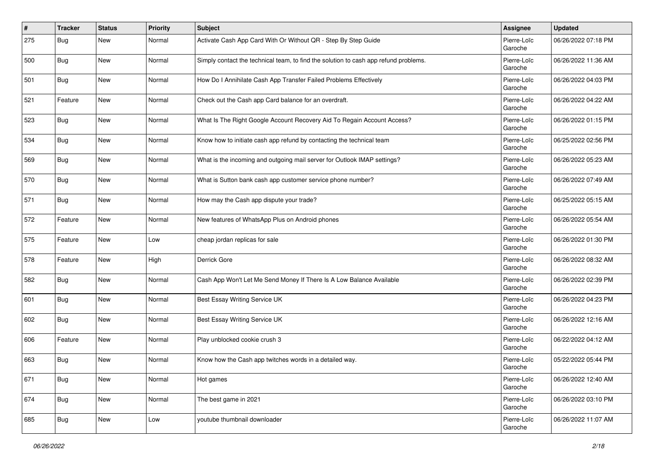| #   | <b>Tracker</b> | <b>Status</b> | Priority | <b>Subject</b>                                                                       | <b>Assignee</b>        | <b>Updated</b>      |
|-----|----------------|---------------|----------|--------------------------------------------------------------------------------------|------------------------|---------------------|
| 275 | Bug            | <b>New</b>    | Normal   | Activate Cash App Card With Or Without QR - Step By Step Guide                       | Pierre-Loïc<br>Garoche | 06/26/2022 07:18 PM |
| 500 | Bug            | <b>New</b>    | Normal   | Simply contact the technical team, to find the solution to cash app refund problems. | Pierre-Loïc<br>Garoche | 06/26/2022 11:36 AM |
| 501 | <b>Bug</b>     | New           | Normal   | How Do I Annihilate Cash App Transfer Failed Problems Effectively                    | Pierre-Loïc<br>Garoche | 06/26/2022 04:03 PM |
| 521 | Feature        | <b>New</b>    | Normal   | Check out the Cash app Card balance for an overdraft.                                | Pierre-Loïc<br>Garoche | 06/26/2022 04:22 AM |
| 523 | Bug            | New           | Normal   | What Is The Right Google Account Recovery Aid To Regain Account Access?              | Pierre-Loïc<br>Garoche | 06/26/2022 01:15 PM |
| 534 | Bug            | New           | Normal   | Know how to initiate cash app refund by contacting the technical team                | Pierre-Loïc<br>Garoche | 06/25/2022 02:56 PM |
| 569 | Bug            | <b>New</b>    | Normal   | What is the incoming and outgoing mail server for Outlook IMAP settings?             | Pierre-Loïc<br>Garoche | 06/26/2022 05:23 AM |
| 570 | Bug            | <b>New</b>    | Normal   | What is Sutton bank cash app customer service phone number?                          | Pierre-Loïc<br>Garoche | 06/26/2022 07:49 AM |
| 571 | Bug            | <b>New</b>    | Normal   | How may the Cash app dispute your trade?                                             | Pierre-Loïc<br>Garoche | 06/25/2022 05:15 AM |
| 572 | Feature        | New           | Normal   | New features of WhatsApp Plus on Android phones                                      | Pierre-Loïc<br>Garoche | 06/26/2022 05:54 AM |
| 575 | Feature        | <b>New</b>    | Low      | cheap jordan replicas for sale                                                       | Pierre-Loïc<br>Garoche | 06/26/2022 01:30 PM |
| 578 | Feature        | <b>New</b>    | High     | Derrick Gore                                                                         | Pierre-Loïc<br>Garoche | 06/26/2022 08:32 AM |
| 582 | Bug            | New           | Normal   | Cash App Won't Let Me Send Money If There Is A Low Balance Available                 | Pierre-Loïc<br>Garoche | 06/26/2022 02:39 PM |
| 601 | Bug            | New           | Normal   | Best Essay Writing Service UK                                                        | Pierre-Loïc<br>Garoche | 06/26/2022 04:23 PM |
| 602 | Bug            | <b>New</b>    | Normal   | Best Essay Writing Service UK                                                        | Pierre-Loïc<br>Garoche | 06/26/2022 12:16 AM |
| 606 | Feature        | <b>New</b>    | Normal   | Play unblocked cookie crush 3                                                        | Pierre-Loïc<br>Garoche | 06/22/2022 04:12 AM |
| 663 | <b>Bug</b>     | New           | Normal   | Know how the Cash app twitches words in a detailed way.                              | Pierre-Loïc<br>Garoche | 05/22/2022 05:44 PM |
| 671 | <b>Bug</b>     | New           | Normal   | Hot games                                                                            | Pierre-Loïc<br>Garoche | 06/26/2022 12:40 AM |
| 674 | Bug            | <b>New</b>    | Normal   | The best game in 2021                                                                | Pierre-Loïc<br>Garoche | 06/26/2022 03:10 PM |
| 685 | <b>Bug</b>     | New           | Low      | voutube thumbnail downloader                                                         | Pierre-Loïc<br>Garoche | 06/26/2022 11:07 AM |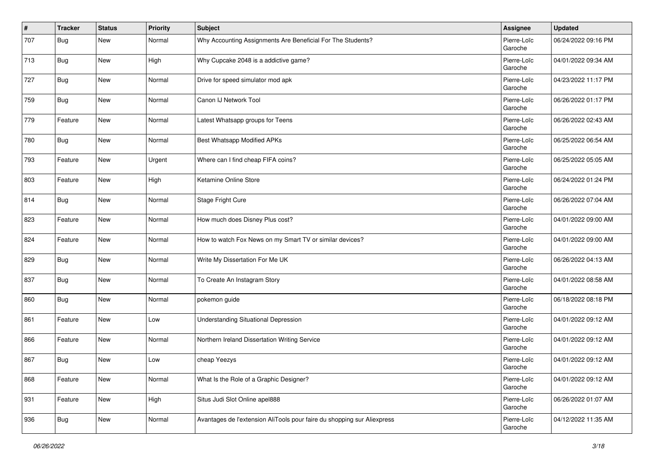| $\vert$ # | <b>Tracker</b> | <b>Status</b> | <b>Priority</b> | <b>Subject</b>                                                          | Assignee               | <b>Updated</b>      |
|-----------|----------------|---------------|-----------------|-------------------------------------------------------------------------|------------------------|---------------------|
| 707       | Bug            | <b>New</b>    | Normal          | Why Accounting Assignments Are Beneficial For The Students?             | Pierre-Loïc<br>Garoche | 06/24/2022 09:16 PM |
| 713       | Bug            | <b>New</b>    | High            | Why Cupcake 2048 is a addictive game?                                   | Pierre-Loïc<br>Garoche | 04/01/2022 09:34 AM |
| 727       | <b>Bug</b>     | New           | Normal          | Drive for speed simulator mod apk                                       | Pierre-Loïc<br>Garoche | 04/23/2022 11:17 PM |
| 759       | <b>Bug</b>     | New           | Normal          | Canon IJ Network Tool                                                   | Pierre-Loïc<br>Garoche | 06/26/2022 01:17 PM |
| 779       | Feature        | New           | Normal          | Latest Whatsapp groups for Teens                                        | Pierre-Loïc<br>Garoche | 06/26/2022 02:43 AM |
| 780       | Bug            | New           | Normal          | <b>Best Whatsapp Modified APKs</b>                                      | Pierre-Loïc<br>Garoche | 06/25/2022 06:54 AM |
| 793       | Feature        | New           | Urgent          | Where can I find cheap FIFA coins?                                      | Pierre-Loïc<br>Garoche | 06/25/2022 05:05 AM |
| 803       | Feature        | <b>New</b>    | High            | Ketamine Online Store                                                   | Pierre-Loïc<br>Garoche | 06/24/2022 01:24 PM |
| 814       | Bug            | <b>New</b>    | Normal          | Stage Fright Cure                                                       | Pierre-Loïc<br>Garoche | 06/26/2022 07:04 AM |
| 823       | Feature        | New           | Normal          | How much does Disney Plus cost?                                         | Pierre-Loïc<br>Garoche | 04/01/2022 09:00 AM |
| 824       | Feature        | New           | Normal          | How to watch Fox News on my Smart TV or similar devices?                | Pierre-Loïc<br>Garoche | 04/01/2022 09:00 AM |
| 829       | Bug            | New           | Normal          | Write My Dissertation For Me UK                                         | Pierre-Loïc<br>Garoche | 06/26/2022 04:13 AM |
| 837       | <b>Bug</b>     | New           | Normal          | To Create An Instagram Story                                            | Pierre-Loïc<br>Garoche | 04/01/2022 08:58 AM |
| 860       | <b>Bug</b>     | New           | Normal          | pokemon guide                                                           | Pierre-Loïc<br>Garoche | 06/18/2022 08:18 PM |
| 861       | Feature        | <b>New</b>    | Low             | <b>Understanding Situational Depression</b>                             | Pierre-Loïc<br>Garoche | 04/01/2022 09:12 AM |
| 866       | Feature        | <b>New</b>    | Normal          | Northern Ireland Dissertation Writing Service                           | Pierre-Loïc<br>Garoche | 04/01/2022 09:12 AM |
| 867       | <b>Bug</b>     | New           | Low             | cheap Yeezys                                                            | Pierre-Loïc<br>Garoche | 04/01/2022 09:12 AM |
| 868       | Feature        | New           | Normal          | What Is the Role of a Graphic Designer?                                 | Pierre-Loïc<br>Garoche | 04/01/2022 09:12 AM |
| 931       | Feature        | New           | High            | Situs Judi Slot Online apel888                                          | Pierre-Loïc<br>Garoche | 06/26/2022 01:07 AM |
| 936       | <b>Bug</b>     | New           | Normal          | Avantages de l'extension AliTools pour faire du shopping sur Aliexpress | Pierre-Loïc<br>Garoche | 04/12/2022 11:35 AM |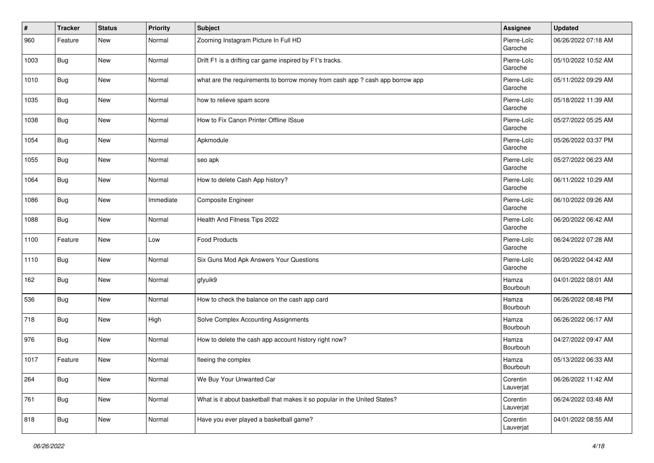| #    | <b>Tracker</b> | <b>Status</b> | Priority  | <b>Subject</b>                                                                | <b>Assignee</b>        | <b>Updated</b>      |
|------|----------------|---------------|-----------|-------------------------------------------------------------------------------|------------------------|---------------------|
| 960  | Feature        | <b>New</b>    | Normal    | Zooming Instagram Picture In Full HD                                          | Pierre-Loïc<br>Garoche | 06/26/2022 07:18 AM |
| 1003 | <b>Bug</b>     | <b>New</b>    | Normal    | Drift F1 is a drifting car game inspired by F1's tracks.                      | Pierre-Loïc<br>Garoche | 05/10/2022 10:52 AM |
| 1010 | <b>Bug</b>     | New           | Normal    | what are the requirements to borrow money from cash app ? cash app borrow app | Pierre-Loïc<br>Garoche | 05/11/2022 09:29 AM |
| 1035 | <b>Bug</b>     | <b>New</b>    | Normal    | how to relieve spam score                                                     | Pierre-Loïc<br>Garoche | 05/18/2022 11:39 AM |
| 1038 | <b>Bug</b>     | New           | Normal    | How to Fix Canon Printer Offline ISsue                                        | Pierre-Loïc<br>Garoche | 05/27/2022 05:25 AM |
| 1054 | <b>Bug</b>     | New           | Normal    | Apkmodule                                                                     | Pierre-Loïc<br>Garoche | 05/26/2022 03:37 PM |
| 1055 | Bug            | <b>New</b>    | Normal    | seo apk                                                                       | Pierre-Loïc<br>Garoche | 05/27/2022 06:23 AM |
| 1064 | Bug            | <b>New</b>    | Normal    | How to delete Cash App history?                                               | Pierre-Loïc<br>Garoche | 06/11/2022 10:29 AM |
| 1086 | <b>Bug</b>     | New           | Immediate | Composite Engineer                                                            | Pierre-Loïc<br>Garoche | 06/10/2022 09:26 AM |
| 1088 | <b>Bug</b>     | New           | Normal    | Health And Fitness Tips 2022                                                  | Pierre-Loïc<br>Garoche | 06/20/2022 06:42 AM |
| 1100 | Feature        | New           | Low       | <b>Food Products</b>                                                          | Pierre-Loïc<br>Garoche | 06/24/2022 07:28 AM |
| 1110 | Bug            | <b>New</b>    | Normal    | Six Guns Mod Apk Answers Your Questions                                       | Pierre-Loïc<br>Garoche | 06/20/2022 04:42 AM |
| 162  | <b>Bug</b>     | New           | Normal    | gfyuik9                                                                       | Hamza<br>Bourbouh      | 04/01/2022 08:01 AM |
| 536  | <b>Bug</b>     | New           | Normal    | How to check the balance on the cash app card                                 | Hamza<br>Bourbouh      | 06/26/2022 08:48 PM |
| 718  | Bug            | <b>New</b>    | High      | Solve Complex Accounting Assignments                                          | Hamza<br>Bourbouh      | 06/26/2022 06:17 AM |
| 976  | <b>Bug</b>     | <b>New</b>    | Normal    | How to delete the cash app account history right now?                         | Hamza<br>Bourbouh      | 04/27/2022 09:47 AM |
| 1017 | Feature        | New           | Normal    | fleeing the complex                                                           | Hamza<br>Bourbouh      | 05/13/2022 06:33 AM |
| 264  | <b>Bug</b>     | New           | Normal    | We Buy Your Unwanted Car                                                      | Corentin<br>Lauverjat  | 06/26/2022 11:42 AM |
| 761  | <b>Bug</b>     | New           | Normal    | What is it about basketball that makes it so popular in the United States?    | Corentin<br>Lauverjat  | 06/24/2022 03:48 AM |
| 818  | <b>Bug</b>     | New           | Normal    | Have you ever played a basketball game?                                       | Corentin<br>Lauverjat  | 04/01/2022 08:55 AM |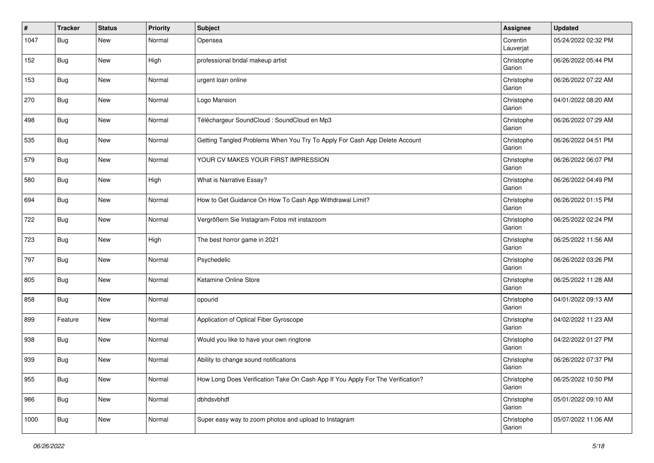| #    | <b>Tracker</b> | <b>Status</b> | <b>Priority</b> | <b>Subject</b>                                                                 | Assignee              | <b>Updated</b>      |
|------|----------------|---------------|-----------------|--------------------------------------------------------------------------------|-----------------------|---------------------|
| 1047 | Bug            | New           | Normal          | Opensea                                                                        | Corentin<br>Lauverjat | 05/24/2022 02:32 PM |
| 152  | Bug            | New           | High            | professional bridal makeup artist                                              | Christophe<br>Garion  | 06/26/2022 05:44 PM |
| 153  | <b>Bug</b>     | New           | Normal          | urgent loan online                                                             | Christophe<br>Garion  | 06/26/2022 07:22 AM |
| 270  | Bug            | New           | Normal          | Logo Mansion                                                                   | Christophe<br>Garion  | 04/01/2022 08:20 AM |
| 498  | <b>Bug</b>     | New           | Normal          | Téléchargeur SoundCloud : SoundCloud en Mp3                                    | Christophe<br>Garion  | 06/26/2022 07:29 AM |
| 535  | <b>Bug</b>     | New           | Normal          | Getting Tangled Problems When You Try To Apply For Cash App Delete Account     | Christophe<br>Garion  | 06/26/2022 04:51 PM |
| 579  | <b>Bug</b>     | New           | Normal          | YOUR CV MAKES YOUR FIRST IMPRESSION                                            | Christophe<br>Garion  | 06/26/2022 06:07 PM |
| 580  | Bug            | New           | High            | What is Narrative Essay?                                                       | Christophe<br>Garion  | 06/26/2022 04:49 PM |
| 694  | <b>Bug</b>     | New           | Normal          | How to Get Guidance On How To Cash App Withdrawal Limit?                       | Christophe<br>Garion  | 06/26/2022 01:15 PM |
| 722  | <b>Bug</b>     | New           | Normal          | Vergrößern Sie Instagram-Fotos mit instazoom                                   | Christophe<br>Garion  | 06/25/2022 02:24 PM |
| 723  | <b>Bug</b>     | <b>New</b>    | High            | The best horror game in 2021                                                   | Christophe<br>Garion  | 06/25/2022 11:56 AM |
| 797  | Bug            | New           | Normal          | Psychedelic                                                                    | Christophe<br>Garion  | 06/26/2022 03:26 PM |
| 805  | <b>Bug</b>     | New           | Normal          | Ketamine Online Store                                                          | Christophe<br>Garion  | 06/25/2022 11:28 AM |
| 858  | <b>Bug</b>     | New           | Normal          | opourid                                                                        | Christophe<br>Garion  | 04/01/2022 09:13 AM |
| 899  | Feature        | New           | Normal          | Application of Optical Fiber Gyroscope                                         | Christophe<br>Garion  | 04/02/2022 11:23 AM |
| 938  | <b>Bug</b>     | New           | Normal          | Would you like to have your own ringtone                                       | Christophe<br>Garion  | 04/22/2022 01:27 PM |
| 939  | <b>Bug</b>     | New           | Normal          | Ability to change sound notifications                                          | Christophe<br>Garion  | 06/26/2022 07:37 PM |
| 955  | Bug            | New           | Normal          | How Long Does Verification Take On Cash App If You Apply For The Verification? | Christophe<br>Garion  | 06/25/2022 10:50 PM |
| 986  | Bug            | New           | Normal          | dbhdsvbhdf                                                                     | Christophe<br>Garion  | 05/01/2022 09:10 AM |
| 1000 | <b>Bug</b>     | New           | Normal          | Super easy way to zoom photos and upload to Instagram                          | Christophe<br>Garion  | 05/07/2022 11:06 AM |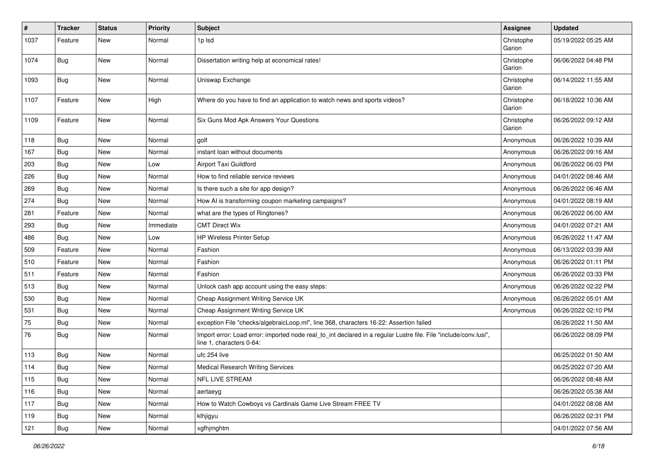| #    | <b>Tracker</b> | <b>Status</b> | <b>Priority</b> | <b>Subject</b>                                                                                                                               | Assignee             | <b>Updated</b>      |
|------|----------------|---------------|-----------------|----------------------------------------------------------------------------------------------------------------------------------------------|----------------------|---------------------|
| 1037 | Feature        | New           | Normal          | 1p lsd                                                                                                                                       | Christophe<br>Garion | 05/19/2022 05:25 AM |
| 1074 | Bug            | <b>New</b>    | Normal          | Dissertation writing help at economical rates!                                                                                               | Christophe<br>Garion | 06/06/2022 04:48 PM |
| 1093 | <b>Bug</b>     | New           | Normal          | Uniswap Exchange                                                                                                                             | Christophe<br>Garion | 06/14/2022 11:55 AM |
| 1107 | Feature        | <b>New</b>    | High            | Where do you have to find an application to watch news and sports videos?                                                                    | Christophe<br>Garion | 06/18/2022 10:36 AM |
| 1109 | Feature        | <b>New</b>    | Normal          | Six Guns Mod Apk Answers Your Questions                                                                                                      | Christophe<br>Garion | 06/26/2022 09:12 AM |
| 118  | Bug            | New           | Normal          | golf                                                                                                                                         | Anonymous            | 06/26/2022 10:39 AM |
| 167  | Bug            | <b>New</b>    | Normal          | instant loan without documents                                                                                                               | Anonymous            | 06/26/2022 09:16 AM |
| 203  | Bug            | <b>New</b>    | Low             | Airport Taxi Guildford                                                                                                                       | Anonymous            | 06/26/2022 06:03 PM |
| 226  | Bug            | New           | Normal          | How to find reliable service reviews                                                                                                         | Anonymous            | 04/01/2022 08:46 AM |
| 269  | Bug            | <b>New</b>    | Normal          | Is there such a site for app design?                                                                                                         | Anonymous            | 06/26/2022 06:46 AM |
| 274  | Bug            | New           | Normal          | How AI is transforming coupon marketing campaigns?                                                                                           | Anonymous            | 04/01/2022 08:19 AM |
| 281  | Feature        | <b>New</b>    | Normal          | what are the types of Ringtones?                                                                                                             | Anonymous            | 06/26/2022 06:00 AM |
| 293  | Bug            | New           | Immediate       | <b>CMT Direct Wix</b>                                                                                                                        | Anonymous            | 04/01/2022 07:21 AM |
| 486  | Bug            | New           | Low             | <b>HP Wireless Printer Setup</b>                                                                                                             | Anonymous            | 06/26/2022 11:47 AM |
| 509  | Feature        | <b>New</b>    | Normal          | Fashion                                                                                                                                      | Anonymous            | 06/13/2022 03:39 AM |
| 510  | Feature        | New           | Normal          | Fashion                                                                                                                                      | Anonymous            | 06/26/2022 01:11 PM |
| 511  | Feature        | New           | Normal          | Fashion                                                                                                                                      | Anonymous            | 06/26/2022 03:33 PM |
| 513  | Bug            | New           | Normal          | Unlock cash app account using the easy steps:                                                                                                | Anonymous            | 06/26/2022 02:22 PM |
| 530  | Bug            | New           | Normal          | Cheap Assignment Writing Service UK                                                                                                          | Anonymous            | 06/26/2022 05:01 AM |
| 531  | Bug            | <b>New</b>    | Normal          | Cheap Assignment Writing Service UK                                                                                                          | Anonymous            | 06/26/2022 02:10 PM |
| 75   | Bug            | <b>New</b>    | Normal          | exception File "checks/algebraicLoop.ml", line 368, characters 16-22: Assertion failed                                                       |                      | 06/26/2022 11:50 AM |
| 76   | Bug            | New           | Normal          | Import error: Load error: imported node real to int declared in a regular Lustre file. File "include/conv.lusi",<br>line 1, characters 0-64: |                      | 06/26/2022 08:09 PM |
| 113  | Bug            | <b>New</b>    | Normal          | ufc 254 live                                                                                                                                 |                      | 06/25/2022 01:50 AM |
| 114  | Bug            | <b>New</b>    | Normal          | <b>Medical Research Writing Services</b>                                                                                                     |                      | 06/25/2022 07:20 AM |
| 115  | Bug            | New           | Normal          | NFL LIVE STREAM                                                                                                                              |                      | 06/26/2022 08:48 AM |
| 116  | Bug            | New           | Normal          | aertaeyg                                                                                                                                     |                      | 06/26/2022 05:38 AM |
| 117  | Bug            | New           | Normal          | How to Watch Cowboys vs Cardinals Game Live Stream FREE TV                                                                                   |                      | 04/01/2022 08:08 AM |
| 119  | Bug            | New           | Normal          | klhjigyu                                                                                                                                     |                      | 06/26/2022 02:31 PM |
| 121  | <b>Bug</b>     | New           | Normal          | xgfhjmghtm                                                                                                                                   |                      | 04/01/2022 07:56 AM |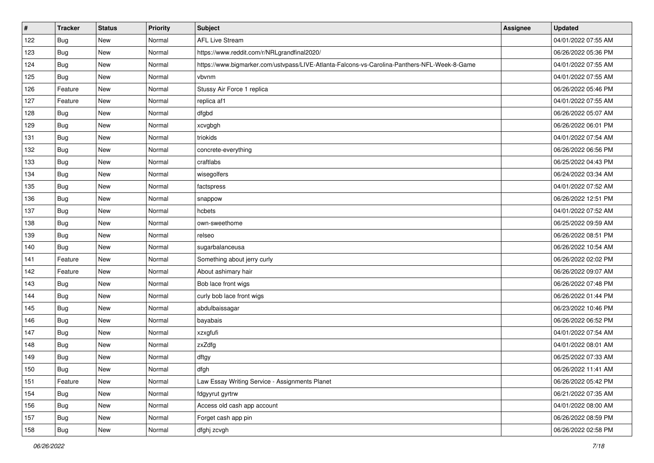| $\pmb{\#}$ | <b>Tracker</b> | <b>Status</b> | <b>Priority</b> | <b>Subject</b>                                                                               | <b>Assignee</b> | <b>Updated</b>      |
|------------|----------------|---------------|-----------------|----------------------------------------------------------------------------------------------|-----------------|---------------------|
| 122        | Bug            | New           | Normal          | <b>AFL Live Stream</b>                                                                       |                 | 04/01/2022 07:55 AM |
| 123        | <b>Bug</b>     | New           | Normal          | https://www.reddit.com/r/NRLgrandfinal2020/                                                  |                 | 06/26/2022 05:36 PM |
| 124        | <b>Bug</b>     | New           | Normal          | https://www.bigmarker.com/ustvpass/LIVE-Atlanta-Falcons-vs-Carolina-Panthers-NFL-Week-8-Game |                 | 04/01/2022 07:55 AM |
| 125        | Bug            | New           | Normal          | vbvnm                                                                                        |                 | 04/01/2022 07:55 AM |
| 126        | Feature        | New           | Normal          | Stussy Air Force 1 replica                                                                   |                 | 06/26/2022 05:46 PM |
| 127        | Feature        | New           | Normal          | replica af1                                                                                  |                 | 04/01/2022 07:55 AM |
| 128        | Bug            | New           | Normal          | dfgbd                                                                                        |                 | 06/26/2022 05:07 AM |
| 129        | <b>Bug</b>     | New           | Normal          | xcvgbgh                                                                                      |                 | 06/26/2022 06:01 PM |
| 131        | Bug            | New           | Normal          | triokids                                                                                     |                 | 04/01/2022 07:54 AM |
| 132        | Bug            | New           | Normal          | concrete-everything                                                                          |                 | 06/26/2022 06:56 PM |
| 133        | <b>Bug</b>     | New           | Normal          | craftlabs                                                                                    |                 | 06/25/2022 04:43 PM |
| 134        | <b>Bug</b>     | New           | Normal          | wisegolfers                                                                                  |                 | 06/24/2022 03:34 AM |
| 135        | Bug            | New           | Normal          | factspress                                                                                   |                 | 04/01/2022 07:52 AM |
| 136        | <b>Bug</b>     | New           | Normal          | snappow                                                                                      |                 | 06/26/2022 12:51 PM |
| 137        | <b>Bug</b>     | New           | Normal          | hcbets                                                                                       |                 | 04/01/2022 07:52 AM |
| 138        | Bug            | New           | Normal          | own-sweethome                                                                                |                 | 06/25/2022 09:59 AM |
| 139        | <b>Bug</b>     | New           | Normal          | relseo                                                                                       |                 | 06/26/2022 08:51 PM |
| 140        | Bug            | New           | Normal          | sugarbalanceusa                                                                              |                 | 06/26/2022 10:54 AM |
| 141        | Feature        | New           | Normal          | Something about jerry curly                                                                  |                 | 06/26/2022 02:02 PM |
| 142        | Feature        | New           | Normal          | About ashimary hair                                                                          |                 | 06/26/2022 09:07 AM |
| 143        | Bug            | New           | Normal          | Bob lace front wigs                                                                          |                 | 06/26/2022 07:48 PM |
| 144        | Bug            | New           | Normal          | curly bob lace front wigs                                                                    |                 | 06/26/2022 01:44 PM |
| 145        | Bug            | New           | Normal          | abdulbaissagar                                                                               |                 | 06/23/2022 10:46 PM |
| 146        | <b>Bug</b>     | New           | Normal          | bayabais                                                                                     |                 | 06/26/2022 06:52 PM |
| 147        | <b>Bug</b>     | New           | Normal          | xzxgfufi                                                                                     |                 | 04/01/2022 07:54 AM |
| 148        | Bug            | New           | Normal          | zxZdfg                                                                                       |                 | 04/01/2022 08:01 AM |
| 149        | Bug            | New           | Normal          | dftgy                                                                                        |                 | 06/25/2022 07:33 AM |
| 150        | <b>Bug</b>     | New           | Normal          | dfgh                                                                                         |                 | 06/26/2022 11:41 AM |
| 151        | Feature        | New           | Normal          | Law Essay Writing Service - Assignments Planet                                               |                 | 06/26/2022 05:42 PM |
| 154        | Bug            | New           | Normal          | fdgyyrut gyrtrw                                                                              |                 | 06/21/2022 07:35 AM |
| 156        | <b>Bug</b>     | New           | Normal          | Access old cash app account                                                                  |                 | 04/01/2022 08:00 AM |
| 157        | <b>Bug</b>     | New           | Normal          | Forget cash app pin                                                                          |                 | 06/26/2022 08:59 PM |
| 158        | <b>Bug</b>     | New           | Normal          | dfghj zcvgh                                                                                  |                 | 06/26/2022 02:58 PM |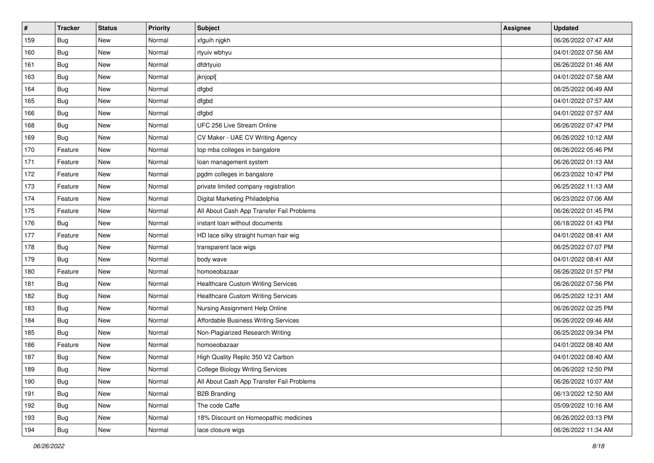| $\vert$ # | <b>Tracker</b> | <b>Status</b> | <b>Priority</b> | <b>Subject</b>                            | <b>Assignee</b> | <b>Updated</b>      |
|-----------|----------------|---------------|-----------------|-------------------------------------------|-----------------|---------------------|
| 159       | <b>Bug</b>     | New           | Normal          | xfguih njgkh                              |                 | 06/26/2022 07:47 AM |
| 160       | Bug            | New           | Normal          | rtyuiv wbhyu                              |                 | 04/01/2022 07:56 AM |
| 161       | <b>Bug</b>     | New           | Normal          | dfdrtyuio                                 |                 | 06/26/2022 01:46 AM |
| 163       | <b>Bug</b>     | New           | Normal          | jknjopl[                                  |                 | 04/01/2022 07:58 AM |
| 164       | <b>Bug</b>     | New           | Normal          | dfgbd                                     |                 | 06/25/2022 06:49 AM |
| 165       | <b>Bug</b>     | New           | Normal          | dfgbd                                     |                 | 04/01/2022 07:57 AM |
| 166       | <b>Bug</b>     | New           | Normal          | dfgbd                                     |                 | 04/01/2022 07:57 AM |
| 168       | Bug            | New           | Normal          | UFC 256 Live Stream Online                |                 | 06/26/2022 07:47 PM |
| 169       | <b>Bug</b>     | New           | Normal          | CV Maker - UAE CV Writing Agency          |                 | 06/26/2022 10:12 AM |
| 170       | Feature        | New           | Normal          | top mba colleges in bangalore             |                 | 06/26/2022 05:46 PM |
| 171       | Feature        | New           | Normal          | loan management system                    |                 | 06/26/2022 01:13 AM |
| 172       | Feature        | New           | Normal          | pgdm colleges in bangalore                |                 | 06/23/2022 10:47 PM |
| 173       | Feature        | New           | Normal          | private limited company registration      |                 | 06/25/2022 11:13 AM |
| 174       | Feature        | New           | Normal          | Digital Marketing Philadelphia            |                 | 06/23/2022 07:06 AM |
| 175       | Feature        | New           | Normal          | All About Cash App Transfer Fail Problems |                 | 06/26/2022 01:45 PM |
| 176       | <b>Bug</b>     | New           | Normal          | instant loan without documents            |                 | 06/18/2022 01:43 PM |
| 177       | Feature        | New           | Normal          | HD lace silky straight human hair wig     |                 | 04/01/2022 08:41 AM |
| 178       | Bug            | New           | Normal          | transparent lace wigs                     |                 | 06/25/2022 07:07 PM |
| 179       | <b>Bug</b>     | New           | Normal          | body wave                                 |                 | 04/01/2022 08:41 AM |
| 180       | Feature        | New           | Normal          | homoeobazaar                              |                 | 06/26/2022 01:57 PM |
| 181       | Bug            | New           | Normal          | <b>Healthcare Custom Writing Services</b> |                 | 06/26/2022 07:56 PM |
| 182       | <b>Bug</b>     | New           | Normal          | <b>Healthcare Custom Writing Services</b> |                 | 06/25/2022 12:31 AM |
| 183       | Bug            | New           | Normal          | Nursing Assignment Help Online            |                 | 06/26/2022 02:25 PM |
| 184       | <b>Bug</b>     | New           | Normal          | Affordable Business Writing Services      |                 | 06/26/2022 09:46 AM |
| 185       | Bug            | New           | Normal          | Non-Plagiarized Research Writing          |                 | 06/25/2022 09:34 PM |
| 186       | Feature        | New           | Normal          | homoeobazaar                              |                 | 04/01/2022 08:40 AM |
| 187       | <b>Bug</b>     | New           | Normal          | High Quality Replic 350 V2 Carbon         |                 | 04/01/2022 08:40 AM |
| 189       | i Bug          | New           | Normal          | <b>College Biology Writing Services</b>   |                 | 06/26/2022 12:50 PM |
| 190       | Bug            | New           | Normal          | All About Cash App Transfer Fail Problems |                 | 06/26/2022 10:07 AM |
| 191       | Bug            | New           | Normal          | <b>B2B Branding</b>                       |                 | 06/13/2022 12:50 AM |
| 192       | Bug            | New           | Normal          | The code Caffe                            |                 | 05/09/2022 10:16 AM |
| 193       | <b>Bug</b>     | New           | Normal          | 18% Discount on Homeopathic medicines     |                 | 06/26/2022 03:13 PM |
| 194       | <b>Bug</b>     | New           | Normal          | lace closure wigs                         |                 | 06/26/2022 11:34 AM |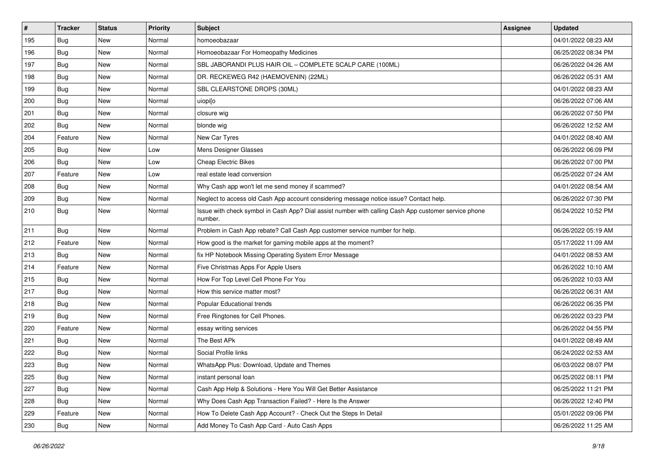| $\vert$ # | <b>Tracker</b> | <b>Status</b> | <b>Priority</b> | <b>Subject</b>                                                                                                  | <b>Assignee</b> | <b>Updated</b>      |
|-----------|----------------|---------------|-----------------|-----------------------------------------------------------------------------------------------------------------|-----------------|---------------------|
| 195       | <b>Bug</b>     | New           | Normal          | homoeobazaar                                                                                                    |                 | 04/01/2022 08:23 AM |
| 196       | Bug            | <b>New</b>    | Normal          | Homoeobazaar For Homeopathy Medicines                                                                           |                 | 06/25/2022 08:34 PM |
| 197       | <b>Bug</b>     | New           | Normal          | SBL JABORANDI PLUS HAIR OIL - COMPLETE SCALP CARE (100ML)                                                       |                 | 06/26/2022 04:26 AM |
| 198       | Bug            | <b>New</b>    | Normal          | DR. RECKEWEG R42 (HAEMOVENIN) (22ML)                                                                            |                 | 06/26/2022 05:31 AM |
| 199       | <b>Bug</b>     | <b>New</b>    | Normal          | SBL CLEARSTONE DROPS (30ML)                                                                                     |                 | 04/01/2022 08:23 AM |
| 200       | Bug            | New           | Normal          | uiopi[o                                                                                                         |                 | 06/26/2022 07:06 AM |
| 201       | <b>Bug</b>     | New           | Normal          | closure wig                                                                                                     |                 | 06/26/2022 07:50 PM |
| 202       | Bug            | New           | Normal          | blonde wig                                                                                                      |                 | 06/26/2022 12:52 AM |
| 204       | Feature        | New           | Normal          | New Car Tyres                                                                                                   |                 | 04/01/2022 08:40 AM |
| 205       | <b>Bug</b>     | <b>New</b>    | Low             | Mens Designer Glasses                                                                                           |                 | 06/26/2022 06:09 PM |
| 206       | Bug            | New           | Low             | <b>Cheap Electric Bikes</b>                                                                                     |                 | 06/26/2022 07:00 PM |
| 207       | Feature        | New           | Low             | real estate lead conversion                                                                                     |                 | 06/25/2022 07:24 AM |
| 208       | <b>Bug</b>     | New           | Normal          | Why Cash app won't let me send money if scammed?                                                                |                 | 04/01/2022 08:54 AM |
| 209       | Bug            | <b>New</b>    | Normal          | Neglect to access old Cash App account considering message notice issue? Contact help.                          |                 | 06/26/2022 07:30 PM |
| 210       | Bug            | <b>New</b>    | Normal          | Issue with check symbol in Cash App? Dial assist number with calling Cash App customer service phone<br>number. |                 | 06/24/2022 10:52 PM |
| 211       | Bug            | <b>New</b>    | Normal          | Problem in Cash App rebate? Call Cash App customer service number for help.                                     |                 | 06/26/2022 05:19 AM |
| 212       | Feature        | <b>New</b>    | Normal          | How good is the market for gaming mobile apps at the moment?                                                    |                 | 05/17/2022 11:09 AM |
| 213       | <b>Bug</b>     | New           | Normal          | fix HP Notebook Missing Operating System Error Message                                                          |                 | 04/01/2022 08:53 AM |
| 214       | Feature        | <b>New</b>    | Normal          | Five Christmas Apps For Apple Users                                                                             |                 | 06/26/2022 10:10 AM |
| 215       | <b>Bug</b>     | New           | Normal          | How For Top Level Cell Phone For You                                                                            |                 | 06/26/2022 10:03 AM |
| 217       | <b>Bug</b>     | <b>New</b>    | Normal          | How this service matter most?                                                                                   |                 | 06/26/2022 06:31 AM |
| 218       | <b>Bug</b>     | New           | Normal          | Popular Educational trends                                                                                      |                 | 06/26/2022 06:35 PM |
| 219       | Bug            | New           | Normal          | Free Ringtones for Cell Phones.                                                                                 |                 | 06/26/2022 03:23 PM |
| 220       | Feature        | <b>New</b>    | Normal          | essay writing services                                                                                          |                 | 06/26/2022 04:55 PM |
| 221       | Bug            | New           | Normal          | The Best APk                                                                                                    |                 | 04/01/2022 08:49 AM |
| 222       | Bug            | New           | Normal          | Social Profile links                                                                                            |                 | 06/24/2022 02:53 AM |
| 223       | Bug            | New           | Normal          | WhatsApp Plus: Download, Update and Themes                                                                      |                 | 06/03/2022 08:07 PM |
| 225       | <b>Bug</b>     | New           | Normal          | instant personal loan                                                                                           |                 | 06/25/2022 08:11 PM |
| 227       | Bug            | New           | Normal          | Cash App Help & Solutions - Here You Will Get Better Assistance                                                 |                 | 06/25/2022 11:21 PM |
| 228       | Bug            | New           | Normal          | Why Does Cash App Transaction Failed? - Here Is the Answer                                                      |                 | 06/26/2022 12:40 PM |
| 229       | Feature        | New           | Normal          | How To Delete Cash App Account? - Check Out the Steps In Detail                                                 |                 | 05/01/2022 09:06 PM |
| 230       | <b>Bug</b>     | New           | Normal          | Add Money To Cash App Card - Auto Cash Apps                                                                     |                 | 06/26/2022 11:25 AM |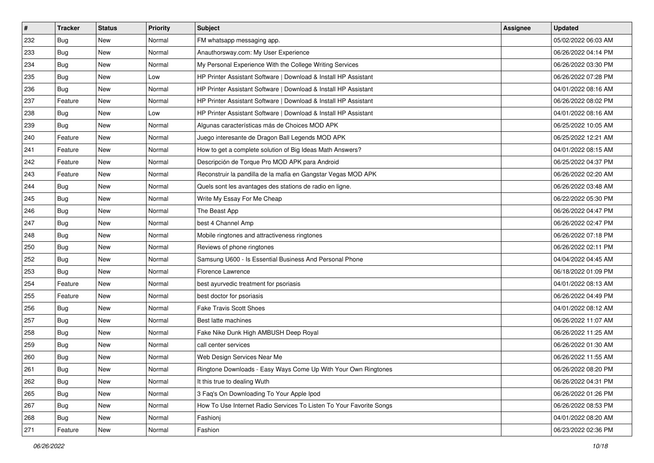| #   | <b>Tracker</b> | <b>Status</b> | <b>Priority</b> | <b>Subject</b>                                                      | <b>Assignee</b> | <b>Updated</b>      |
|-----|----------------|---------------|-----------------|---------------------------------------------------------------------|-----------------|---------------------|
| 232 | Bug            | New           | Normal          | FM whatsapp messaging app.                                          |                 | 05/02/2022 06:03 AM |
| 233 | Bug            | <b>New</b>    | Normal          | Anauthorsway.com: My User Experience                                |                 | 06/26/2022 04:14 PM |
| 234 | Bug            | New           | Normal          | My Personal Experience With the College Writing Services            |                 | 06/26/2022 03:30 PM |
| 235 | Bug            | New           | Low             | HP Printer Assistant Software   Download & Install HP Assistant     |                 | 06/26/2022 07:28 PM |
| 236 | Bug            | New           | Normal          | HP Printer Assistant Software   Download & Install HP Assistant     |                 | 04/01/2022 08:16 AM |
| 237 | Feature        | New           | Normal          | HP Printer Assistant Software   Download & Install HP Assistant     |                 | 06/26/2022 08:02 PM |
| 238 | Bug            | New           | LOW             | HP Printer Assistant Software   Download & Install HP Assistant     |                 | 04/01/2022 08:16 AM |
| 239 | Bug            | New           | Normal          | Algunas características más de Choices MOD APK                      |                 | 06/25/2022 10:05 AM |
| 240 | Feature        | New           | Normal          | Juego interesante de Dragon Ball Legends MOD APK                    |                 | 06/25/2022 12:21 AM |
| 241 | Feature        | <b>New</b>    | Normal          | How to get a complete solution of Big Ideas Math Answers?           |                 | 04/01/2022 08:15 AM |
| 242 | Feature        | New           | Normal          | Descripción de Torque Pro MOD APK para Android                      |                 | 06/25/2022 04:37 PM |
| 243 | Feature        | New           | Normal          | Reconstruir la pandilla de la mafia en Gangstar Vegas MOD APK       |                 | 06/26/2022 02:20 AM |
| 244 | Bug            | New           | Normal          | Quels sont les avantages des stations de radio en ligne.            |                 | 06/26/2022 03:48 AM |
| 245 | Bug            | <b>New</b>    | Normal          | Write My Essay For Me Cheap                                         |                 | 06/22/2022 05:30 PM |
| 246 | Bug            | New           | Normal          | The Beast App                                                       |                 | 06/26/2022 04:47 PM |
| 247 | Bug            | New           | Normal          | best 4 Channel Amp                                                  |                 | 06/26/2022 02:47 PM |
| 248 | Bug            | New           | Normal          | Mobile ringtones and attractiveness ringtones                       |                 | 06/26/2022 07:18 PM |
| 250 | Bug            | New           | Normal          | Reviews of phone ringtones                                          |                 | 06/26/2022 02:11 PM |
| 252 | Bug            | New           | Normal          | Samsung U600 - Is Essential Business And Personal Phone             |                 | 04/04/2022 04:45 AM |
| 253 | Bug            | <b>New</b>    | Normal          | Florence Lawrence                                                   |                 | 06/18/2022 01:09 PM |
| 254 | Feature        | New           | Normal          | best ayurvedic treatment for psoriasis                              |                 | 04/01/2022 08:13 AM |
| 255 | Feature        | New           | Normal          | best doctor for psoriasis                                           |                 | 06/26/2022 04:49 PM |
| 256 | Bug            | New           | Normal          | <b>Fake Travis Scott Shoes</b>                                      |                 | 04/01/2022 08:12 AM |
| 257 | Bug            | New           | Normal          | Best latte machines                                                 |                 | 06/26/2022 11:07 AM |
| 258 | Bug            | <b>New</b>    | Normal          | Fake Nike Dunk High AMBUSH Deep Royal                               |                 | 06/26/2022 11:25 AM |
| 259 | Bug            | New           | Normal          | call center services                                                |                 | 06/26/2022 01:30 AM |
| 260 | Bug            | New           | Normal          | Web Design Services Near Me                                         |                 | 06/26/2022 11:55 AM |
| 261 | <b>Bug</b>     | New           | Normal          | Ringtone Downloads - Easy Ways Come Up With Your Own Ringtones      |                 | 06/26/2022 08:20 PM |
| 262 | Bug            | New           | Normal          | It this true to dealing Wuth                                        |                 | 06/26/2022 04:31 PM |
| 265 | Bug            | New           | Normal          | 3 Faq's On Downloading To Your Apple Ipod                           |                 | 06/26/2022 01:26 PM |
| 267 | Bug            | New           | Normal          | How To Use Internet Radio Services To Listen To Your Favorite Songs |                 | 06/26/2022 08:53 PM |
| 268 | Bug            | New           | Normal          | Fashionj                                                            |                 | 04/01/2022 08:20 AM |
| 271 | Feature        | New           | Normal          | Fashion                                                             |                 | 06/23/2022 02:36 PM |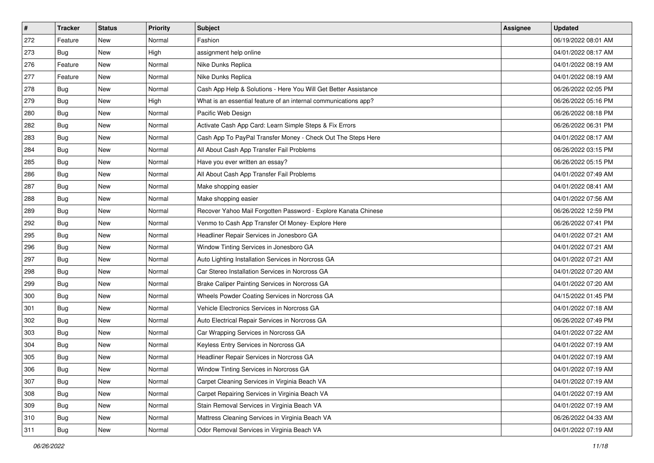| $\sharp$ | Tracker    | <b>Status</b> | Priority | Subject                                                         | <b>Assignee</b> | <b>Updated</b>      |
|----------|------------|---------------|----------|-----------------------------------------------------------------|-----------------|---------------------|
| 272      | Feature    | New           | Normal   | Fashion                                                         |                 | 06/19/2022 08:01 AM |
| 273      | Bug        | <b>New</b>    | High     | assignment help online                                          |                 | 04/01/2022 08:17 AM |
| 276      | Feature    | New           | Normal   | Nike Dunks Replica                                              |                 | 04/01/2022 08:19 AM |
| 277      | Feature    | <b>New</b>    | Normal   | Nike Dunks Replica                                              |                 | 04/01/2022 08:19 AM |
| 278      | <b>Bug</b> | <b>New</b>    | Normal   | Cash App Help & Solutions - Here You Will Get Better Assistance |                 | 06/26/2022 02:05 PM |
| 279      | <b>Bug</b> | New           | High     | What is an essential feature of an internal communications app? |                 | 06/26/2022 05:16 PM |
| 280      | <b>Bug</b> | New           | Normal   | Pacific Web Design                                              |                 | 06/26/2022 08:18 PM |
| 282      | Bug        | New           | Normal   | Activate Cash App Card: Learn Simple Steps & Fix Errors         |                 | 06/26/2022 06:31 PM |
| 283      | Bug        | New           | Normal   | Cash App To PayPal Transfer Money - Check Out The Steps Here    |                 | 04/01/2022 08:17 AM |
| 284      | <b>Bug</b> | <b>New</b>    | Normal   | All About Cash App Transfer Fail Problems                       |                 | 06/26/2022 03:15 PM |
| 285      | Bug        | New           | Normal   | Have you ever written an essay?                                 |                 | 06/26/2022 05:15 PM |
| 286      | Bug        | New           | Normal   | All About Cash App Transfer Fail Problems                       |                 | 04/01/2022 07:49 AM |
| 287      | <b>Bug</b> | <b>New</b>    | Normal   | Make shopping easier                                            |                 | 04/01/2022 08:41 AM |
| 288      | <b>Bug</b> | New           | Normal   | Make shopping easier                                            |                 | 04/01/2022 07:56 AM |
| 289      | <b>Bug</b> | <b>New</b>    | Normal   | Recover Yahoo Mail Forgotten Password - Explore Kanata Chinese  |                 | 06/26/2022 12:59 PM |
| 292      | <b>Bug</b> | New           | Normal   | Venmo to Cash App Transfer Of Money- Explore Here               |                 | 06/26/2022 07:41 PM |
| 295      | Bug        | <b>New</b>    | Normal   | Headliner Repair Services in Jonesboro GA                       |                 | 04/01/2022 07:21 AM |
| 296      | <b>Bug</b> | <b>New</b>    | Normal   | Window Tinting Services in Jonesboro GA                         |                 | 04/01/2022 07:21 AM |
| 297      | Bug        | New           | Normal   | Auto Lighting Installation Services in Norcross GA              |                 | 04/01/2022 07:21 AM |
| 298      | <b>Bug</b> | <b>New</b>    | Normal   | Car Stereo Installation Services in Norcross GA                 |                 | 04/01/2022 07:20 AM |
| 299      | Bug        | New           | Normal   | Brake Caliper Painting Services in Norcross GA                  |                 | 04/01/2022 07:20 AM |
| 300      | Bug        | New           | Normal   | Wheels Powder Coating Services in Norcross GA                   |                 | 04/15/2022 01:45 PM |
| 301      | <b>Bug</b> | <b>New</b>    | Normal   | Vehicle Electronics Services in Norcross GA                     |                 | 04/01/2022 07:18 AM |
| 302      | Bug        | New           | Normal   | Auto Electrical Repair Services in Norcross GA                  |                 | 06/26/2022 07:49 PM |
| 303      | Bug        | New           | Normal   | Car Wrapping Services in Norcross GA                            |                 | 04/01/2022 07:22 AM |
| 304      | Bug        | <b>New</b>    | Normal   | Keyless Entry Services in Norcross GA                           |                 | 04/01/2022 07:19 AM |
| 305      | Bug        | New           | Normal   | Headliner Repair Services in Norcross GA                        |                 | 04/01/2022 07:19 AM |
| 306      | i Bug      | New           | Normal   | Window Tinting Services in Norcross GA                          |                 | 04/01/2022 07:19 AM |
| 307      | Bug        | New           | Normal   | Carpet Cleaning Services in Virginia Beach VA                   |                 | 04/01/2022 07:19 AM |
| 308      | Bug        | New           | Normal   | Carpet Repairing Services in Virginia Beach VA                  |                 | 04/01/2022 07:19 AM |
| 309      | Bug        | New           | Normal   | Stain Removal Services in Virginia Beach VA                     |                 | 04/01/2022 07:19 AM |
| 310      | Bug        | New           | Normal   | Mattress Cleaning Services in Virginia Beach VA                 |                 | 06/26/2022 04:33 AM |
| 311      | <b>Bug</b> | New           | Normal   | Odor Removal Services in Virginia Beach VA                      |                 | 04/01/2022 07:19 AM |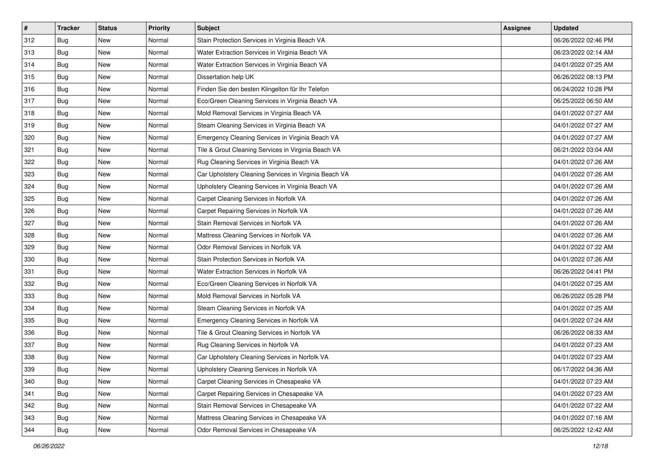| #   | <b>Tracker</b> | <b>Status</b> | Priority | Subject                                               | <b>Assignee</b> | <b>Updated</b>      |
|-----|----------------|---------------|----------|-------------------------------------------------------|-----------------|---------------------|
| 312 | Bug            | New           | Normal   | Stain Protection Services in Virginia Beach VA        |                 | 06/26/2022 02:46 PM |
| 313 | Bug            | <b>New</b>    | Normal   | Water Extraction Services in Virginia Beach VA        |                 | 06/23/2022 02:14 AM |
| 314 | Bug            | New           | Normal   | Water Extraction Services in Virginia Beach VA        |                 | 04/01/2022 07:25 AM |
| 315 | Bug            | New           | Normal   | Dissertation help UK                                  |                 | 06/26/2022 08:13 PM |
| 316 | <b>Bug</b>     | New           | Normal   | Finden Sie den besten Klingelton für Ihr Telefon      |                 | 06/24/2022 10:28 PM |
| 317 | Bug            | New           | Normal   | Eco/Green Cleaning Services in Virginia Beach VA      |                 | 06/25/2022 06:50 AM |
| 318 | <b>Bug</b>     | New           | Normal   | Mold Removal Services in Virginia Beach VA            |                 | 04/01/2022 07:27 AM |
| 319 | Bug            | New           | Normal   | Steam Cleaning Services in Virginia Beach VA          |                 | 04/01/2022 07:27 AM |
| 320 | Bug            | New           | Normal   | Emergency Cleaning Services in Virginia Beach VA      |                 | 04/01/2022 07:27 AM |
| 321 | <b>Bug</b>     | New           | Normal   | Tile & Grout Cleaning Services in Virginia Beach VA   |                 | 06/21/2022 03:04 AM |
| 322 | Bug            | New           | Normal   | Rug Cleaning Services in Virginia Beach VA            |                 | 04/01/2022 07:26 AM |
| 323 | Bug            | New           | Normal   | Car Upholstery Cleaning Services in Virginia Beach VA |                 | 04/01/2022 07:26 AM |
| 324 | Bug            | New           | Normal   | Upholstery Cleaning Services in Virginia Beach VA     |                 | 04/01/2022 07:26 AM |
| 325 | Bug            | New           | Normal   | Carpet Cleaning Services in Norfolk VA                |                 | 04/01/2022 07:26 AM |
| 326 | Bug            | New           | Normal   | Carpet Repairing Services in Norfolk VA               |                 | 04/01/2022 07:26 AM |
| 327 | Bug            | New           | Normal   | Stain Removal Services in Norfolk VA                  |                 | 04/01/2022 07:26 AM |
| 328 | Bug            | New           | Normal   | Mattress Cleaning Services in Norfolk VA              |                 | 04/01/2022 07:26 AM |
| 329 | <b>Bug</b>     | New           | Normal   | Odor Removal Services in Norfolk VA                   |                 | 04/01/2022 07:22 AM |
| 330 | Bug            | New           | Normal   | Stain Protection Services in Norfolk VA               |                 | 04/01/2022 07:26 AM |
| 331 | <b>Bug</b>     | New           | Normal   | Water Extraction Services in Norfolk VA               |                 | 06/26/2022 04:41 PM |
| 332 | Bug            | New           | Normal   | Eco/Green Cleaning Services in Norfolk VA             |                 | 04/01/2022 07:25 AM |
| 333 | Bug            | New           | Normal   | Mold Removal Services in Norfolk VA                   |                 | 06/26/2022 05:28 PM |
| 334 | <b>Bug</b>     | New           | Normal   | Steam Cleaning Services in Norfolk VA                 |                 | 04/01/2022 07:25 AM |
| 335 | Bug            | New           | Normal   | Emergency Cleaning Services in Norfolk VA             |                 | 04/01/2022 07:24 AM |
| 336 | Bug            | New           | Normal   | Tile & Grout Cleaning Services in Norfolk VA          |                 | 06/26/2022 08:33 AM |
| 337 | Bug            | New           | Normal   | Rug Cleaning Services in Norfolk VA                   |                 | 04/01/2022 07:23 AM |
| 338 | Bug            | New           | Normal   | Car Upholstery Cleaning Services in Norfolk VA        |                 | 04/01/2022 07:23 AM |
| 339 | <b>Bug</b>     | New           | Normal   | Upholstery Cleaning Services in Norfolk VA            |                 | 06/17/2022 04:36 AM |
| 340 | Bug            | New           | Normal   | Carpet Cleaning Services in Chesapeake VA             |                 | 04/01/2022 07:23 AM |
| 341 | Bug            | New           | Normal   | Carpet Repairing Services in Chesapeake VA            |                 | 04/01/2022 07:23 AM |
| 342 | Bug            | New           | Normal   | Stain Removal Services in Chesapeake VA               |                 | 04/01/2022 07:22 AM |
| 343 | Bug            | New           | Normal   | Mattress Cleaning Services in Chesapeake VA           |                 | 04/01/2022 07:16 AM |
| 344 | <b>Bug</b>     | New           | Normal   | Odor Removal Services in Chesapeake VA                |                 | 06/25/2022 12:42 AM |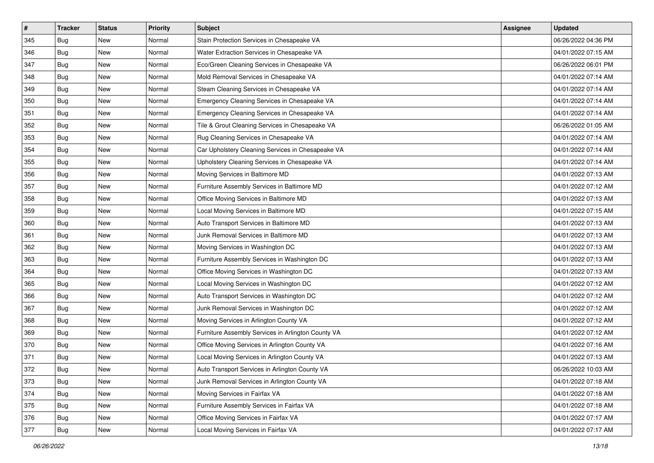| $\vert$ # | <b>Tracker</b> | <b>Status</b> | <b>Priority</b> | <b>Subject</b>                                     | <b>Assignee</b> | <b>Updated</b>      |
|-----------|----------------|---------------|-----------------|----------------------------------------------------|-----------------|---------------------|
| 345       | <b>Bug</b>     | New           | Normal          | Stain Protection Services in Chesapeake VA         |                 | 06/26/2022 04:36 PM |
| 346       | <b>Bug</b>     | <b>New</b>    | Normal          | Water Extraction Services in Chesapeake VA         |                 | 04/01/2022 07:15 AM |
| 347       | Bug            | New           | Normal          | Eco/Green Cleaning Services in Chesapeake VA       |                 | 06/26/2022 06:01 PM |
| 348       | Bug            | New           | Normal          | Mold Removal Services in Chesapeake VA             |                 | 04/01/2022 07:14 AM |
| 349       | Bug            | New           | Normal          | Steam Cleaning Services in Chesapeake VA           |                 | 04/01/2022 07:14 AM |
| 350       | Bug            | New           | Normal          | Emergency Cleaning Services in Chesapeake VA       |                 | 04/01/2022 07:14 AM |
| 351       | Bug            | New           | Normal          | Emergency Cleaning Services in Chesapeake VA       |                 | 04/01/2022 07:14 AM |
| 352       | Bug            | New           | Normal          | Tile & Grout Cleaning Services in Chesapeake VA    |                 | 06/26/2022 01:05 AM |
| 353       | Bug            | New           | Normal          | Rug Cleaning Services in Chesapeake VA             |                 | 04/01/2022 07:14 AM |
| 354       | <b>Bug</b>     | New           | Normal          | Car Upholstery Cleaning Services in Chesapeake VA  |                 | 04/01/2022 07:14 AM |
| 355       | Bug            | New           | Normal          | Upholstery Cleaning Services in Chesapeake VA      |                 | 04/01/2022 07:14 AM |
| 356       | Bug            | New           | Normal          | Moving Services in Baltimore MD                    |                 | 04/01/2022 07:13 AM |
| 357       | Bug            | New           | Normal          | Furniture Assembly Services in Baltimore MD        |                 | 04/01/2022 07:12 AM |
| 358       | Bug            | New           | Normal          | Office Moving Services in Baltimore MD             |                 | 04/01/2022 07:13 AM |
| 359       | Bug            | New           | Normal          | Local Moving Services in Baltimore MD              |                 | 04/01/2022 07:15 AM |
| 360       | Bug            | New           | Normal          | Auto Transport Services in Baltimore MD            |                 | 04/01/2022 07:13 AM |
| 361       | Bug            | New           | Normal          | Junk Removal Services in Baltimore MD              |                 | 04/01/2022 07:13 AM |
| 362       | Bug            | New           | Normal          | Moving Services in Washington DC                   |                 | 04/01/2022 07:13 AM |
| 363       | Bug            | New           | Normal          | Furniture Assembly Services in Washington DC       |                 | 04/01/2022 07:13 AM |
| 364       | <b>Bug</b>     | <b>New</b>    | Normal          | Office Moving Services in Washington DC            |                 | 04/01/2022 07:13 AM |
| 365       | Bug            | New           | Normal          | Local Moving Services in Washington DC             |                 | 04/01/2022 07:12 AM |
| 366       | Bug            | New           | Normal          | Auto Transport Services in Washington DC           |                 | 04/01/2022 07:12 AM |
| 367       | <b>Bug</b>     | New           | Normal          | Junk Removal Services in Washington DC             |                 | 04/01/2022 07:12 AM |
| 368       | Bug            | New           | Normal          | Moving Services in Arlington County VA             |                 | 04/01/2022 07:12 AM |
| 369       | Bug            | New           | Normal          | Furniture Assembly Services in Arlington County VA |                 | 04/01/2022 07:12 AM |
| 370       | Bug            | New           | Normal          | Office Moving Services in Arlington County VA      |                 | 04/01/2022 07:16 AM |
| 371       | Bug            | New           | Normal          | Local Moving Services in Arlington County VA       |                 | 04/01/2022 07:13 AM |
| 372       | <b>Bug</b>     | New           | Normal          | Auto Transport Services in Arlington County VA     |                 | 06/26/2022 10:03 AM |
| 373       | Bug            | New           | Normal          | Junk Removal Services in Arlington County VA       |                 | 04/01/2022 07:18 AM |
| 374       | Bug            | New           | Normal          | Moving Services in Fairfax VA                      |                 | 04/01/2022 07:18 AM |
| 375       | Bug            | New           | Normal          | Furniture Assembly Services in Fairfax VA          |                 | 04/01/2022 07:18 AM |
| 376       | <b>Bug</b>     | New           | Normal          | Office Moving Services in Fairfax VA               |                 | 04/01/2022 07:17 AM |
| 377       | <b>Bug</b>     | New           | Normal          | Local Moving Services in Fairfax VA                |                 | 04/01/2022 07:17 AM |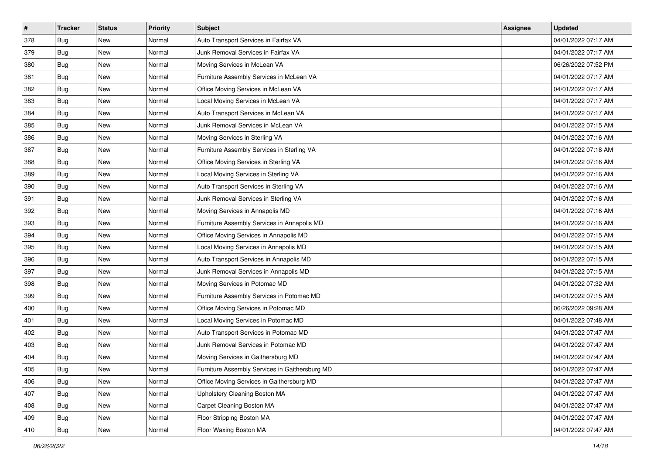| $\sharp$ | <b>Tracker</b> | <b>Status</b> | <b>Priority</b> | <b>Subject</b>                                 | <b>Assignee</b> | <b>Updated</b>      |
|----------|----------------|---------------|-----------------|------------------------------------------------|-----------------|---------------------|
| 378      | Bug            | New           | Normal          | Auto Transport Services in Fairfax VA          |                 | 04/01/2022 07:17 AM |
| 379      | Bug            | <b>New</b>    | Normal          | Junk Removal Services in Fairfax VA            |                 | 04/01/2022 07:17 AM |
| 380      | Bug            | New           | Normal          | Moving Services in McLean VA                   |                 | 06/26/2022 07:52 PM |
| 381      | Bug            | <b>New</b>    | Normal          | Furniture Assembly Services in McLean VA       |                 | 04/01/2022 07:17 AM |
| 382      | Bug            | <b>New</b>    | Normal          | Office Moving Services in McLean VA            |                 | 04/01/2022 07:17 AM |
| 383      | <b>Bug</b>     | New           | Normal          | Local Moving Services in McLean VA             |                 | 04/01/2022 07:17 AM |
| 384      | Bug            | New           | Normal          | Auto Transport Services in McLean VA           |                 | 04/01/2022 07:17 AM |
| 385      | Bug            | New           | Normal          | Junk Removal Services in McLean VA             |                 | 04/01/2022 07:15 AM |
| 386      | Bug            | New           | Normal          | Moving Services in Sterling VA                 |                 | 04/01/2022 07:16 AM |
| 387      | <b>Bug</b>     | <b>New</b>    | Normal          | Furniture Assembly Services in Sterling VA     |                 | 04/01/2022 07:18 AM |
| 388      | Bug            | New           | Normal          | Office Moving Services in Sterling VA          |                 | 04/01/2022 07:16 AM |
| 389      | <b>Bug</b>     | New           | Normal          | Local Moving Services in Sterling VA           |                 | 04/01/2022 07:16 AM |
| 390      | <b>Bug</b>     | <b>New</b>    | Normal          | Auto Transport Services in Sterling VA         |                 | 04/01/2022 07:16 AM |
| 391      | Bug            | New           | Normal          | Junk Removal Services in Sterling VA           |                 | 04/01/2022 07:16 AM |
| 392      | Bug            | <b>New</b>    | Normal          | Moving Services in Annapolis MD                |                 | 04/01/2022 07:16 AM |
| 393      | Bug            | New           | Normal          | Furniture Assembly Services in Annapolis MD    |                 | 04/01/2022 07:16 AM |
| 394      | Bug            | <b>New</b>    | Normal          | Office Moving Services in Annapolis MD         |                 | 04/01/2022 07:15 AM |
| 395      | Bug            | <b>New</b>    | Normal          | Local Moving Services in Annapolis MD          |                 | 04/01/2022 07:15 AM |
| 396      | Bug            | <b>New</b>    | Normal          | Auto Transport Services in Annapolis MD        |                 | 04/01/2022 07:15 AM |
| 397      | Bug            | <b>New</b>    | Normal          | Junk Removal Services in Annapolis MD          |                 | 04/01/2022 07:15 AM |
| 398      | Bug            | New           | Normal          | Moving Services in Potomac MD                  |                 | 04/01/2022 07:32 AM |
| 399      | Bug            | <b>New</b>    | Normal          | Furniture Assembly Services in Potomac MD      |                 | 04/01/2022 07:15 AM |
| 400      | <b>Bug</b>     | <b>New</b>    | Normal          | Office Moving Services in Potomac MD           |                 | 06/26/2022 09:28 AM |
| 401      | Bug            | New           | Normal          | Local Moving Services in Potomac MD            |                 | 04/01/2022 07:48 AM |
| 402      | Bug            | New           | Normal          | Auto Transport Services in Potomac MD          |                 | 04/01/2022 07:47 AM |
| 403      | Bug            | <b>New</b>    | Normal          | Junk Removal Services in Potomac MD            |                 | 04/01/2022 07:47 AM |
| 404      | Bug            | New           | Normal          | Moving Services in Gaithersburg MD             |                 | 04/01/2022 07:47 AM |
| 405      | <b>Bug</b>     | New           | Normal          | Furniture Assembly Services in Gaithersburg MD |                 | 04/01/2022 07:47 AM |
| 406      | Bug            | New           | Normal          | Office Moving Services in Gaithersburg MD      |                 | 04/01/2022 07:47 AM |
| 407      | Bug            | New           | Normal          | Upholstery Cleaning Boston MA                  |                 | 04/01/2022 07:47 AM |
| 408      | Bug            | New           | Normal          | Carpet Cleaning Boston MA                      |                 | 04/01/2022 07:47 AM |
| 409      | Bug            | New           | Normal          | Floor Stripping Boston MA                      |                 | 04/01/2022 07:47 AM |
| 410      | <b>Bug</b>     | New           | Normal          | Floor Waxing Boston MA                         |                 | 04/01/2022 07:47 AM |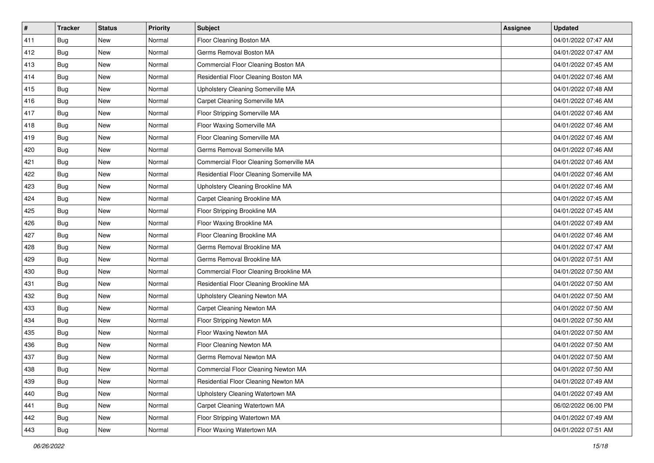| #   | <b>Tracker</b> | <b>Status</b> | Priority | <b>Subject</b>                           | <b>Assignee</b> | <b>Updated</b>      |
|-----|----------------|---------------|----------|------------------------------------------|-----------------|---------------------|
| 411 | Bug            | New           | Normal   | Floor Cleaning Boston MA                 |                 | 04/01/2022 07:47 AM |
| 412 | Bug            | New           | Normal   | Germs Removal Boston MA                  |                 | 04/01/2022 07:47 AM |
| 413 | Bug            | New           | Normal   | Commercial Floor Cleaning Boston MA      |                 | 04/01/2022 07:45 AM |
| 414 | Bug            | New           | Normal   | Residential Floor Cleaning Boston MA     |                 | 04/01/2022 07:46 AM |
| 415 | Bug            | <b>New</b>    | Normal   | Upholstery Cleaning Somerville MA        |                 | 04/01/2022 07:48 AM |
| 416 | Bug            | New           | Normal   | Carpet Cleaning Somerville MA            |                 | 04/01/2022 07:46 AM |
| 417 | Bug            | New           | Normal   | Floor Stripping Somerville MA            |                 | 04/01/2022 07:46 AM |
| 418 | Bug            | New           | Normal   | Floor Waxing Somerville MA               |                 | 04/01/2022 07:46 AM |
| 419 | Bug            | New           | Normal   | Floor Cleaning Somerville MA             |                 | 04/01/2022 07:46 AM |
| 420 | Bug            | New           | Normal   | Germs Removal Somerville MA              |                 | 04/01/2022 07:46 AM |
| 421 | Bug            | New           | Normal   | Commercial Floor Cleaning Somerville MA  |                 | 04/01/2022 07:46 AM |
| 422 | Bug            | New           | Normal   | Residential Floor Cleaning Somerville MA |                 | 04/01/2022 07:46 AM |
| 423 | Bug            | New           | Normal   | Upholstery Cleaning Brookline MA         |                 | 04/01/2022 07:46 AM |
| 424 | Bug            | New           | Normal   | Carpet Cleaning Brookline MA             |                 | 04/01/2022 07:45 AM |
| 425 | Bug            | <b>New</b>    | Normal   | Floor Stripping Brookline MA             |                 | 04/01/2022 07:45 AM |
| 426 | Bug            | New           | Normal   | Floor Waxing Brookline MA                |                 | 04/01/2022 07:49 AM |
| 427 | Bug            | New           | Normal   | Floor Cleaning Brookline MA              |                 | 04/01/2022 07:46 AM |
| 428 | Bug            | <b>New</b>    | Normal   | Germs Removal Brookline MA               |                 | 04/01/2022 07:47 AM |
| 429 | Bug            | New           | Normal   | Germs Removal Brookline MA               |                 | 04/01/2022 07:51 AM |
| 430 | Bug            | New           | Normal   | Commercial Floor Cleaning Brookline MA   |                 | 04/01/2022 07:50 AM |
| 431 | Bug            | New           | Normal   | Residential Floor Cleaning Brookline MA  |                 | 04/01/2022 07:50 AM |
| 432 | Bug            | New           | Normal   | Upholstery Cleaning Newton MA            |                 | 04/01/2022 07:50 AM |
| 433 | Bug            | <b>New</b>    | Normal   | Carpet Cleaning Newton MA                |                 | 04/01/2022 07:50 AM |
| 434 | Bug            | New           | Normal   | Floor Stripping Newton MA                |                 | 04/01/2022 07:50 AM |
| 435 | Bug            | New           | Normal   | Floor Waxing Newton MA                   |                 | 04/01/2022 07:50 AM |
| 436 | Bug            | New           | Normal   | Floor Cleaning Newton MA                 |                 | 04/01/2022 07:50 AM |
| 437 | Bug            | New           | Normal   | Germs Removal Newton MA                  |                 | 04/01/2022 07:50 AM |
| 438 | <b>Bug</b>     | New           | Normal   | Commercial Floor Cleaning Newton MA      |                 | 04/01/2022 07:50 AM |
| 439 | Bug            | New           | Normal   | Residential Floor Cleaning Newton MA     |                 | 04/01/2022 07:49 AM |
| 440 | Bug            | New           | Normal   | Upholstery Cleaning Watertown MA         |                 | 04/01/2022 07:49 AM |
| 441 | Bug            | New           | Normal   | Carpet Cleaning Watertown MA             |                 | 06/02/2022 06:00 PM |
| 442 | Bug            | New           | Normal   | Floor Stripping Watertown MA             |                 | 04/01/2022 07:49 AM |
| 443 | Bug            | New           | Normal   | Floor Waxing Watertown MA                |                 | 04/01/2022 07:51 AM |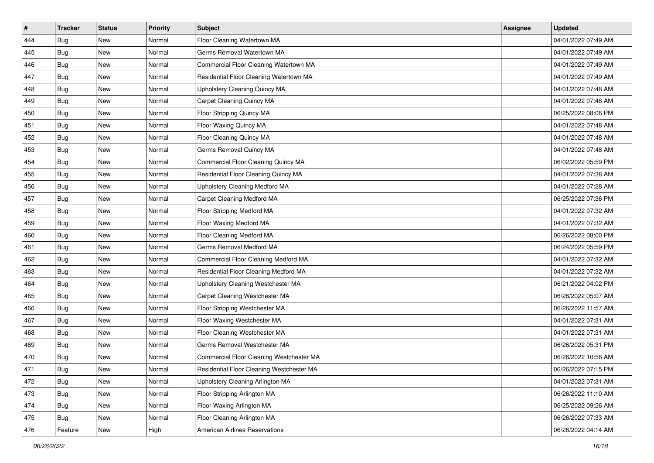| #   | <b>Tracker</b> | <b>Status</b> | Priority | <b>Subject</b>                            | <b>Assignee</b> | <b>Updated</b>      |
|-----|----------------|---------------|----------|-------------------------------------------|-----------------|---------------------|
| 444 | Bug            | New           | Normal   | Floor Cleaning Watertown MA               |                 | 04/01/2022 07:49 AM |
| 445 | Bug            | New           | Normal   | Germs Removal Watertown MA                |                 | 04/01/2022 07:49 AM |
| 446 | Bug            | New           | Normal   | Commercial Floor Cleaning Watertown MA    |                 | 04/01/2022 07:49 AM |
| 447 | Bug            | New           | Normal   | Residential Floor Cleaning Watertown MA   |                 | 04/01/2022 07:49 AM |
| 448 | Bug            | <b>New</b>    | Normal   | Upholstery Cleaning Quincy MA             |                 | 04/01/2022 07:48 AM |
| 449 | Bug            | New           | Normal   | Carpet Cleaning Quincy MA                 |                 | 04/01/2022 07:48 AM |
| 450 | Bug            | New           | Normal   | Floor Stripping Quincy MA                 |                 | 06/25/2022 08:06 PM |
| 451 | Bug            | New           | Normal   | Floor Waxing Quincy MA                    |                 | 04/01/2022 07:48 AM |
| 452 | Bug            | New           | Normal   | Floor Cleaning Quincy MA                  |                 | 04/01/2022 07:48 AM |
| 453 | Bug            | New           | Normal   | Germs Removal Quincy MA                   |                 | 04/01/2022 07:48 AM |
| 454 | Bug            | New           | Normal   | Commercial Floor Cleaning Quincy MA       |                 | 06/02/2022 05:59 PM |
| 455 | Bug            | New           | Normal   | Residential Floor Cleaning Quincy MA      |                 | 04/01/2022 07:38 AM |
| 456 | Bug            | New           | Normal   | Upholstery Cleaning Medford MA            |                 | 04/01/2022 07:28 AM |
| 457 | Bug            | New           | Normal   | Carpet Cleaning Medford MA                |                 | 06/25/2022 07:36 PM |
| 458 | Bug            | New           | Normal   | Floor Stripping Medford MA                |                 | 04/01/2022 07:32 AM |
| 459 | Bug            | New           | Normal   | Floor Waxing Medford MA                   |                 | 04/01/2022 07:32 AM |
| 460 | Bug            | New           | Normal   | Floor Cleaning Medford MA                 |                 | 06/26/2022 08:00 PM |
| 461 | Bug            | <b>New</b>    | Normal   | Germs Removal Medford MA                  |                 | 06/24/2022 05:59 PM |
| 462 | Bug            | New           | Normal   | Commercial Floor Cleaning Medford MA      |                 | 04/01/2022 07:32 AM |
| 463 | Bug            | New           | Normal   | Residential Floor Cleaning Medford MA     |                 | 04/01/2022 07:32 AM |
| 464 | Bug            | New           | Normal   | Upholstery Cleaning Westchester MA        |                 | 06/21/2022 04:02 PM |
| 465 | Bug            | New           | Normal   | Carpet Cleaning Westchester MA            |                 | 06/26/2022 05:07 AM |
| 466 | <b>Bug</b>     | <b>New</b>    | Normal   | Floor Stripping Westchester MA            |                 | 06/26/2022 11:57 AM |
| 467 | Bug            | New           | Normal   | Floor Waxing Westchester MA               |                 | 04/01/2022 07:31 AM |
| 468 | Bug            | New           | Normal   | Floor Cleaning Westchester MA             |                 | 04/01/2022 07:31 AM |
| 469 | Bug            | New           | Normal   | Germs Removal Westchester MA              |                 | 06/26/2022 05:31 PM |
| 470 | Bug            | New           | Normal   | Commercial Floor Cleaning Westchester MA  |                 | 06/26/2022 10:56 AM |
| 471 | <b>Bug</b>     | New           | Normal   | Residential Floor Cleaning Westchester MA |                 | 06/26/2022 07:15 PM |
| 472 | Bug            | New           | Normal   | Upholstery Cleaning Arlington MA          |                 | 04/01/2022 07:31 AM |
| 473 | Bug            | New           | Normal   | Floor Stripping Arlington MA              |                 | 06/26/2022 11:10 AM |
| 474 | Bug            | New           | Normal   | Floor Waxing Arlington MA                 |                 | 06/25/2022 09:26 AM |
| 475 | Bug            | New           | Normal   | Floor Cleaning Arlington MA               |                 | 06/26/2022 07:33 AM |
| 476 | Feature        | New           | High     | American Airlines Reservations            |                 | 06/26/2022 04:14 AM |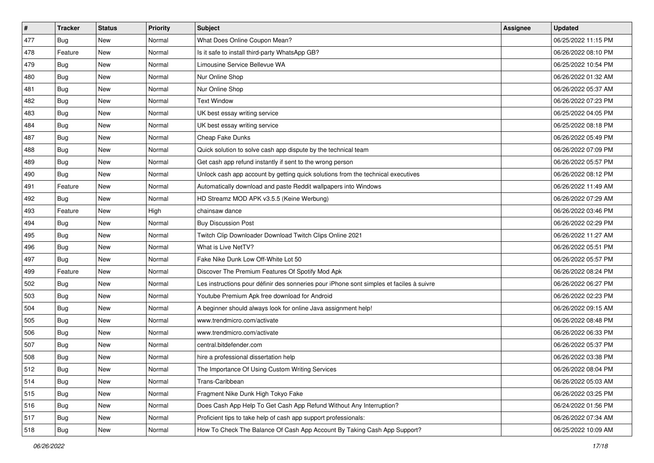| #   | <b>Tracker</b> | <b>Status</b> | <b>Priority</b> | <b>Subject</b>                                                                           | <b>Assignee</b> | <b>Updated</b>      |
|-----|----------------|---------------|-----------------|------------------------------------------------------------------------------------------|-----------------|---------------------|
| 477 | Bug            | New           | Normal          | What Does Online Coupon Mean?                                                            |                 | 06/25/2022 11:15 PM |
| 478 | Feature        | <b>New</b>    | Normal          | Is it safe to install third-party WhatsApp GB?                                           |                 | 06/26/2022 08:10 PM |
| 479 | <b>Bug</b>     | <b>New</b>    | Normal          | Limousine Service Bellevue WA                                                            |                 | 06/25/2022 10:54 PM |
| 480 | Bug            | <b>New</b>    | Normal          | Nur Online Shop                                                                          |                 | 06/26/2022 01:32 AM |
| 481 | <b>Bug</b>     | <b>New</b>    | Normal          | Nur Online Shop                                                                          |                 | 06/26/2022 05:37 AM |
| 482 | Bug            | New           | Normal          | <b>Text Window</b>                                                                       |                 | 06/26/2022 07:23 PM |
| 483 | <b>Bug</b>     | <b>New</b>    | Normal          | UK best essay writing service                                                            |                 | 06/25/2022 04:05 PM |
| 484 | Bug            | New           | Normal          | UK best essay writing service                                                            |                 | 06/25/2022 08:18 PM |
| 487 | Bug            | <b>New</b>    | Normal          | Cheap Fake Dunks                                                                         |                 | 06/26/2022 05:49 PM |
| 488 | <b>Bug</b>     | New           | Normal          | Quick solution to solve cash app dispute by the technical team                           |                 | 06/26/2022 07:09 PM |
| 489 | Bug            | New           | Normal          | Get cash app refund instantly if sent to the wrong person                                |                 | 06/26/2022 05:57 PM |
| 490 | <b>Bug</b>     | <b>New</b>    | Normal          | Unlock cash app account by getting quick solutions from the technical executives         |                 | 06/26/2022 08:12 PM |
| 491 | Feature        | New           | Normal          | Automatically download and paste Reddit wallpapers into Windows                          |                 | 06/26/2022 11:49 AM |
| 492 | Bug            | <b>New</b>    | Normal          | HD Streamz MOD APK v3.5.5 (Keine Werbung)                                                |                 | 06/26/2022 07:29 AM |
| 493 | Feature        | New           | High            | chainsaw dance                                                                           |                 | 06/26/2022 03:46 PM |
| 494 | <b>Bug</b>     | New           | Normal          | <b>Buy Discussion Post</b>                                                               |                 | 06/26/2022 02:29 PM |
| 495 | <b>Bug</b>     | New           | Normal          | Twitch Clip Downloader Download Twitch Clips Online 2021                                 |                 | 06/26/2022 11:27 AM |
| 496 | <b>Bug</b>     | New           | Normal          | What is Live NetTV?                                                                      |                 | 06/26/2022 05:51 PM |
| 497 | <b>Bug</b>     | New           | Normal          | Fake Nike Dunk Low Off-White Lot 50                                                      |                 | 06/26/2022 05:57 PM |
| 499 | Feature        | <b>New</b>    | Normal          | Discover The Premium Features Of Spotify Mod Apk                                         |                 | 06/26/2022 08:24 PM |
| 502 | Bug            | New           | Normal          | Les instructions pour définir des sonneries pour iPhone sont simples et faciles à suivre |                 | 06/26/2022 06:27 PM |
| 503 | Bug            | <b>New</b>    | Normal          | Youtube Premium Apk free download for Android                                            |                 | 06/26/2022 02:23 PM |
| 504 | <b>Bug</b>     | <b>New</b>    | Normal          | A beginner should always look for online Java assignment help!                           |                 | 06/26/2022 09:15 AM |
| 505 | Bug            | New           | Normal          | www.trendmicro.com/activate                                                              |                 | 06/26/2022 08:48 PM |
| 506 | <b>Bug</b>     | <b>New</b>    | Normal          | www.trendmicro.com/activate                                                              |                 | 06/26/2022 06:33 PM |
| 507 | Bug            | New           | Normal          | central.bitdefender.com                                                                  |                 | 06/26/2022 05:37 PM |
| 508 | Bug            | New           | Normal          | hire a professional dissertation help                                                    |                 | 06/26/2022 03:38 PM |
| 512 | i Bug          | New           | Normal          | The Importance Of Using Custom Writing Services                                          |                 | 06/26/2022 08:04 PM |
| 514 | Bug            | New           | Normal          | Trans-Caribbean                                                                          |                 | 06/26/2022 05:03 AM |
| 515 | Bug            | New           | Normal          | Fragment Nike Dunk High Tokyo Fake                                                       |                 | 06/26/2022 03:25 PM |
| 516 | Bug            | New           | Normal          | Does Cash App Help To Get Cash App Refund Without Any Interruption?                      |                 | 06/24/2022 01:56 PM |
| 517 | Bug            | New           | Normal          | Proficient tips to take help of cash app support professionals:                          |                 | 06/26/2022 07:34 AM |
| 518 | <b>Bug</b>     | New           | Normal          | How To Check The Balance Of Cash App Account By Taking Cash App Support?                 |                 | 06/25/2022 10:09 AM |